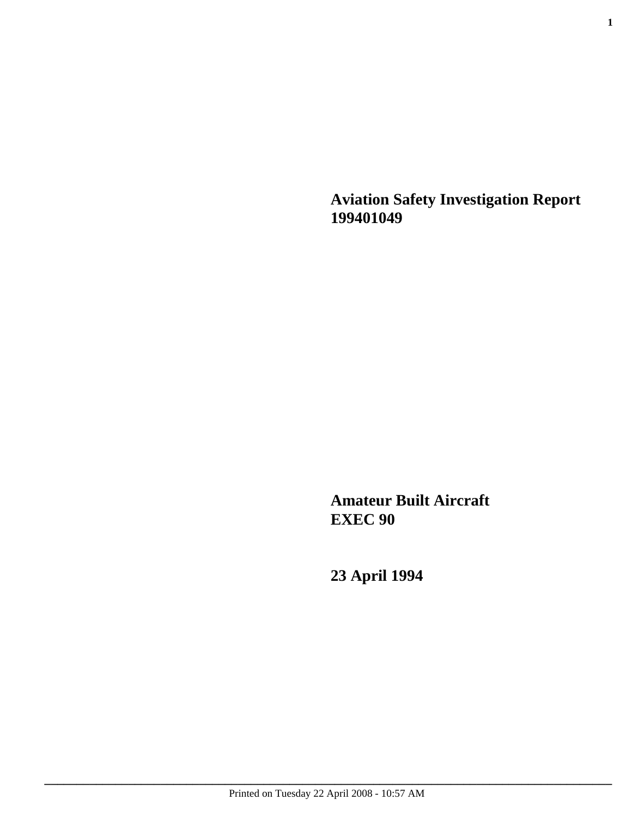**Aviation Safety Investigation Report 199401049**

**Amateur Built Aircraft EXEC 90**

**23 April 1994**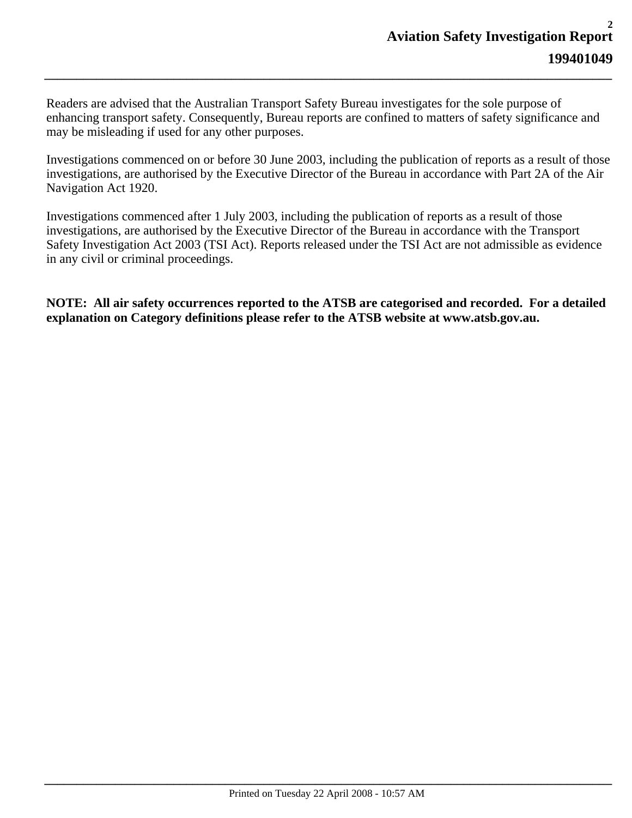Readers are advised that the Australian Transport Safety Bureau investigates for the sole purpose of enhancing transport safety. Consequently, Bureau reports are confined to matters of safety significance and may be misleading if used for any other purposes.

*\_\_\_\_\_\_\_\_\_\_\_\_\_\_\_\_\_\_\_\_\_\_\_\_\_\_\_\_\_\_\_\_\_\_\_\_\_\_\_\_\_\_\_\_\_\_\_\_\_\_\_\_\_\_\_\_\_\_\_\_\_\_\_\_\_\_\_\_\_\_\_\_\_\_\_\_\_\_\_\_\_\_\_\_\_\_\_\_*

Investigations commenced on or before 30 June 2003, including the publication of reports as a result of those investigations, are authorised by the Executive Director of the Bureau in accordance with Part 2A of the Air Navigation Act 1920.

Investigations commenced after 1 July 2003, including the publication of reports as a result of those investigations, are authorised by the Executive Director of the Bureau in accordance with the Transport Safety Investigation Act 2003 (TSI Act). Reports released under the TSI Act are not admissible as evidence in any civil or criminal proceedings.

**NOTE: All air safety occurrences reported to the ATSB are categorised and recorded. For a detailed explanation on Category definitions please refer to the ATSB website at www.atsb.gov.au.**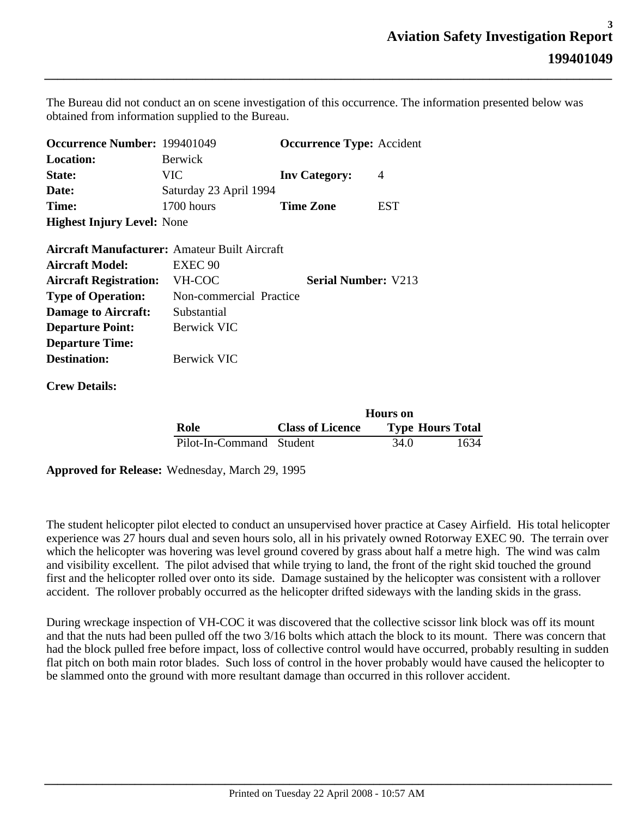The Bureau did not conduct an on scene investigation of this occurrence. The information presented below was obtained from information supplied to the Bureau.

*\_\_\_\_\_\_\_\_\_\_\_\_\_\_\_\_\_\_\_\_\_\_\_\_\_\_\_\_\_\_\_\_\_\_\_\_\_\_\_\_\_\_\_\_\_\_\_\_\_\_\_\_\_\_\_\_\_\_\_\_\_\_\_\_\_\_\_\_\_\_\_\_\_\_\_\_\_\_\_\_\_\_\_\_\_\_\_\_*

| <b>Occurrence Number: 199401049</b>                  |                         | <b>Occurrence Type: Accident</b> |                 |
|------------------------------------------------------|-------------------------|----------------------------------|-----------------|
| <b>Location:</b>                                     | <b>Berwick</b>          |                                  |                 |
| State:                                               | <b>VIC</b>              | <b>Inv Category:</b>             | $\overline{4}$  |
| Date:                                                | Saturday 23 April 1994  |                                  |                 |
| Time:                                                | 1700 hours              | <b>Time Zone</b>                 | <b>EST</b>      |
| <b>Highest Injury Level:</b> None                    |                         |                                  |                 |
| <b>Aircraft Manufacturer: Amateur Built Aircraft</b> |                         |                                  |                 |
| <b>Aircraft Model:</b>                               | EXEC <sub>90</sub>      |                                  |                 |
| <b>Aircraft Registration:</b>                        | VH-COC                  | <b>Serial Number: V213</b>       |                 |
| <b>Type of Operation:</b>                            | Non-commercial Practice |                                  |                 |
| <b>Damage to Aircraft:</b>                           | Substantial             |                                  |                 |
| <b>Departure Point:</b>                              | <b>Berwick VIC</b>      |                                  |                 |
| <b>Departure Time:</b>                               |                         |                                  |                 |
| <b>Destination:</b>                                  | <b>Berwick VIC</b>      |                                  |                 |
| <b>Crew Details:</b>                                 |                         |                                  |                 |
|                                                      |                         |                                  | <b>Hours</b> on |
|                                                      |                         | $\sim$<br>$\sim$ $\sim$ $\sim$   |                 |

|                          | <b>Hours</b> on         |      |                         |
|--------------------------|-------------------------|------|-------------------------|
| Role                     | <b>Class of Licence</b> |      | <b>Type Hours Total</b> |
| Pilot-In-Command Student |                         | 34.0 | 1634                    |

**Approved for Release:** Wednesday, March 29, 1995

The student helicopter pilot elected to conduct an unsupervised hover practice at Casey Airfield. His total helicopter experience was 27 hours dual and seven hours solo, all in his privately owned Rotorway EXEC 90. The terrain over which the helicopter was hovering was level ground covered by grass about half a metre high. The wind was calm and visibility excellent. The pilot advised that while trying to land, the front of the right skid touched the ground first and the helicopter rolled over onto its side. Damage sustained by the helicopter was consistent with a rollover accident. The rollover probably occurred as the helicopter drifted sideways with the landing skids in the grass.

During wreckage inspection of VH-COC it was discovered that the collective scissor link block was off its mount and that the nuts had been pulled off the two 3/16 bolts which attach the block to its mount. There was concern that had the block pulled free before impact, loss of collective control would have occurred, probably resulting in sudden flat pitch on both main rotor blades. Such loss of control in the hover probably would have caused the helicopter to be slammed onto the ground with more resultant damage than occurred in this rollover accident.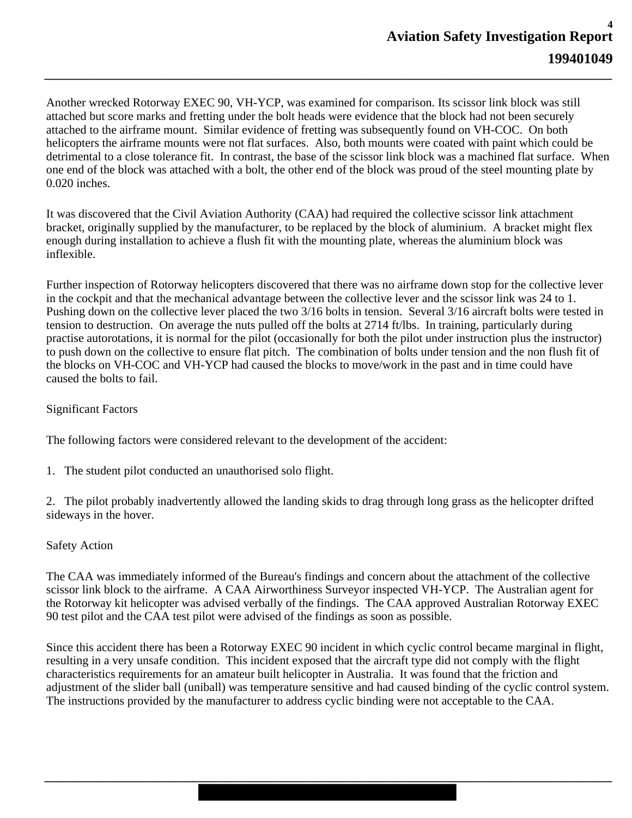Another wrecked Rotorway EXEC 90, VH-YCP, was examined for comparison. Its scissor link block was still attached but score marks and fretting under the bolt heads were evidence that the block had not been securely attached to the airframe mount. Similar evidence of fretting was subsequently found on VH-COC. On both helicopters the airframe mounts were not flat surfaces. Also, both mounts were coated with paint which could be detrimental to a close tolerance fit. In contrast, the base of the scissor link block was a machined flat surface. When one end of the block was attached with a bolt, the other end of the block was proud of the steel mounting plate by 0.020 inches.

*\_\_\_\_\_\_\_\_\_\_\_\_\_\_\_\_\_\_\_\_\_\_\_\_\_\_\_\_\_\_\_\_\_\_\_\_\_\_\_\_\_\_\_\_\_\_\_\_\_\_\_\_\_\_\_\_\_\_\_\_\_\_\_\_\_\_\_\_\_\_\_\_\_\_\_\_\_\_\_\_\_\_\_\_\_\_\_\_*

It was discovered that the Civil Aviation Authority (CAA) had required the collective scissor link attachment bracket, originally supplied by the manufacturer, to be replaced by the block of aluminium. A bracket might flex enough during installation to achieve a flush fit with the mounting plate, whereas the aluminium block was inflexible.

Further inspection of Rotorway helicopters discovered that there was no airframe down stop for the collective lever in the cockpit and that the mechanical advantage between the collective lever and the scissor link was 24 to 1. Pushing down on the collective lever placed the two 3/16 bolts in tension. Several 3/16 aircraft bolts were tested in tension to destruction. On average the nuts pulled off the bolts at 2714 ft/lbs. In training, particularly during practise autorotations, it is normal for the pilot (occasionally for both the pilot under instruction plus the instructor) to push down on the collective to ensure flat pitch. The combination of bolts under tension and the non flush fit of the blocks on VH-COC and VH-YCP had caused the blocks to move/work in the past and in time could have caused the bolts to fail.

## Significant Factors

The following factors were considered relevant to the development of the accident:

1. The student pilot conducted an unauthorised solo flight.

2. The pilot probably inadvertently allowed the landing skids to drag through long grass as the helicopter drifted sideways in the hover.

## Safety Action

The CAA was immediately informed of the Bureau's findings and concern about the attachment of the collective scissor link block to the airframe. A CAA Airworthiness Surveyor inspected VH-YCP. The Australian agent for the Rotorway kit helicopter was advised verbally of the findings. The CAA approved Australian Rotorway EXEC 90 test pilot and the CAA test pilot were advised of the findings as soon as possible.

Since this accident there has been a Rotorway EXEC 90 incident in which cyclic control became marginal in flight, resulting in a very unsafe condition. This incident exposed that the aircraft type did not comply with the flight characteristics requirements for an amateur built helicopter in Australia. It was found that the friction and adjustment of the slider ball (uniball) was temperature sensitive and had caused binding of the cyclic control system. The instructions provided by the manufacturer to address cyclic binding were not acceptable to the CAA.

*\_\_\_\_\_\_\_\_\_\_\_\_\_\_\_\_\_\_\_\_\_\_\_\_\_\_\_\_\_\_\_\_\_\_\_\_\_\_\_\_\_\_\_\_\_\_\_\_\_\_\_\_\_\_\_\_\_\_\_\_\_\_\_\_\_\_\_\_\_\_\_\_\_\_\_\_\_\_\_\_\_\_\_\_\_\_\_\_*